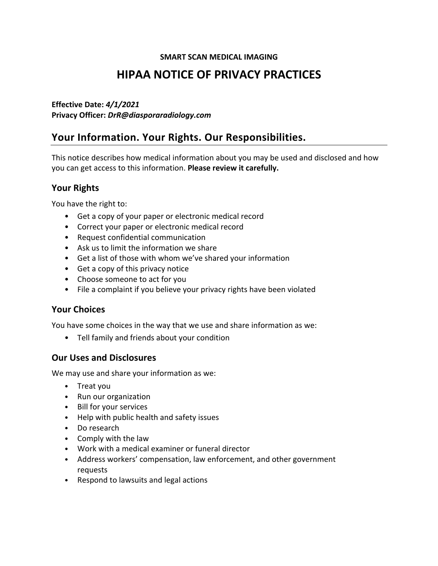#### **SMART SCAN MEDICAL IMAGING**

# **HIPAA NOTICE OF PRIVACY PRACTICES**

## **Effective Date:** *4/1/2021* **Privacy Officer:** *DrR@diasporaradiology.com*

## Your Information. Your Rights. Our Responsibilities.

This notice describes how medical information about you may be used and disclosed and how you can get access to this information. Please review it carefully.

## **Your Rights**

You have the right to:

- Get a copy of your paper or electronic medical record
- Correct your paper or electronic medical record
- Request confidential communication
- Ask us to limit the information we share
- Get a list of those with whom we've shared your information
- Get a copy of this privacy notice
- Choose someone to act for you
- File a complaint if you believe your privacy rights have been violated

## **Your Choices**

You have some choices in the way that we use and share information as we:

• Tell family and friends about your condition

## **Our Uses and Disclosures**

We may use and share your information as we:

- Treat you
- Run our organization
- Bill for your services
- Help with public health and safety issues
- Do research
- Comply with the law
- Work with a medical examiner or funeral director
- Address workers' compensation, law enforcement, and other government requests
- Respond to lawsuits and legal actions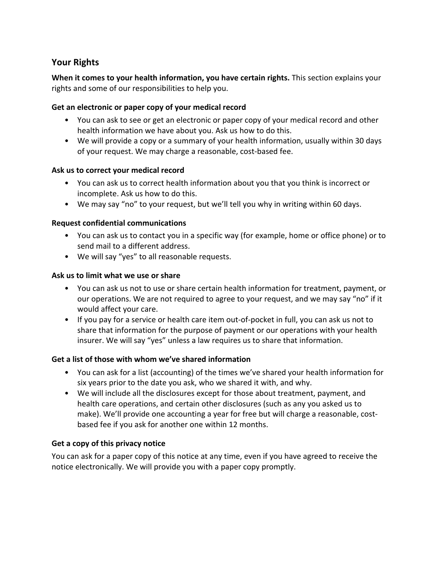## **Your Rights**

**When it comes to your health information, you have certain rights.** This section explains your rights and some of our responsibilities to help you.

### Get an electronic or paper copy of your medical record

- You can ask to see or get an electronic or paper copy of your medical record and other health information we have about you. Ask us how to do this.
- We will provide a copy or a summary of your health information, usually within 30 days of your request. We may charge a reasonable, cost-based fee.

#### Ask us to correct your medical record

- You can ask us to correct health information about you that you think is incorrect or incomplete. Ask us how to do this.
- We may say "no" to your request, but we'll tell you why in writing within 60 days.

#### **Request confidential communications**

- You can ask us to contact you in a specific way (for example, home or office phone) or to send mail to a different address.
- We will say "yes" to all reasonable requests.

#### Ask us to limit what we use or share

- You can ask us not to use or share certain health information for treatment, payment, or our operations. We are not required to agree to your request, and we may say "no" if it would affect your care.
- If you pay for a service or health care item out-of-pocket in full, you can ask us not to share that information for the purpose of payment or our operations with your health insurer. We will say "yes" unless a law requires us to share that information.

## Get a list of those with whom we've shared information

- You can ask for a list (accounting) of the times we've shared your health information for six years prior to the date you ask, who we shared it with, and why.
- We will include all the disclosures except for those about treatment, payment, and health care operations, and certain other disclosures (such as any you asked us to make). We'll provide one accounting a year for free but will charge a reasonable, costbased fee if you ask for another one within 12 months.

## Get a copy of this privacy notice

You can ask for a paper copy of this notice at any time, even if you have agreed to receive the notice electronically. We will provide you with a paper copy promptly.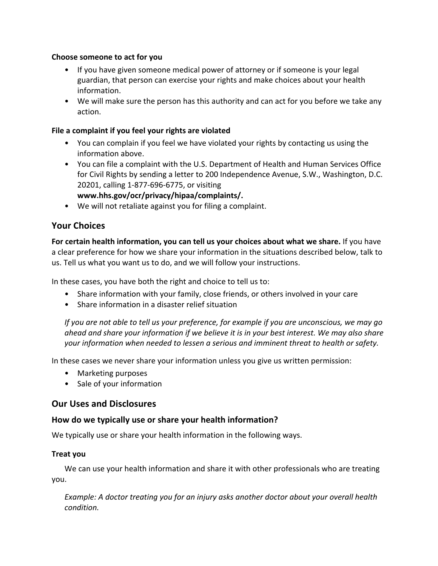#### **Choose someone to act for you**

- If you have given someone medical power of attorney or if someone is your legal guardian, that person can exercise your rights and make choices about your health information.
- We will make sure the person has this authority and can act for you before we take any action.

## File a complaint if you feel your rights are violated

- You can complain if you feel we have violated your rights by contacting us using the information above.
- You can file a complaint with the U.S. Department of Health and Human Services Office for Civil Rights by sending a letter to 200 Independence Avenue, S.W., Washington, D.C. 20201, calling 1-877-696-6775, or visiting
	- **www.hhs.gov/ocr/privacy/hipaa/complaints/.**
- We will not retaliate against you for filing a complaint.

## **Your Choices**

For certain health information, you can tell us your choices about what we share. If you have a clear preference for how we share your information in the situations described below, talk to us. Tell us what you want us to do, and we will follow your instructions.

In these cases, you have both the right and choice to tell us to:

- Share information with your family, close friends, or others involved in your care
- $\bullet$  Share information in a disaster relief situation

*If* you are not able to tell us your preference, for example if you are unconscious, we may go *ahead and share your information if we believe it is in your best interest. We may also share* your information when needed to lessen a serious and imminent threat to health or safety.

In these cases we never share your information unless you give us written permission:

- Marketing purposes
- Sale of your information

## **Our Uses and Disclosures**

## How do we typically use or share your health information?

We typically use or share your health information in the following ways.

## **Treat you**

We can use your health information and share it with other professionals who are treating you.

*Example:* A doctor treating you for an injury asks another doctor about your overall health *condition.*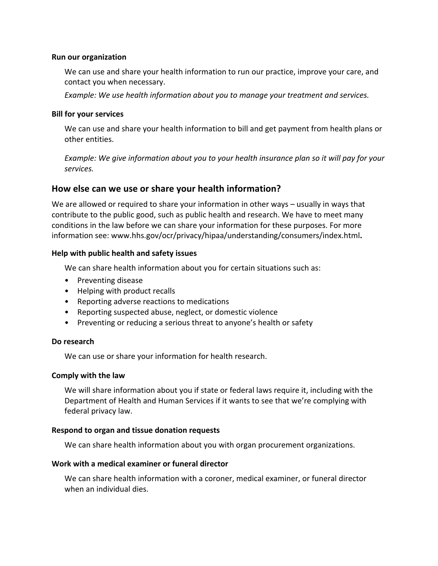#### **Run our organization**

We can use and share your health information to run our practice, improve your care, and contact you when necessary.

Example: We use health information about you to manage your treatment and services.

#### **Bill for your services**

We can use and share your health information to bill and get payment from health plans or other entities.

*Example:* We give information about you to your health insurance plan so it will pay for your *services.* 

## How else can we use or share your health information?

We are allowed or required to share your information in other ways  $-$  usually in ways that contribute to the public good, such as public health and research. We have to meet many conditions in the law before we can share your information for these purposes. For more information see: www.hhs.gov/ocr/privacy/hipaa/understanding/consumers/index.html.

#### **Help with public health and safety issues**

We can share health information about you for certain situations such as:

- Preventing disease
- Helping with product recalls
- Reporting adverse reactions to medications
- Reporting suspected abuse, neglect, or domestic violence
- Preventing or reducing a serious threat to anyone's health or safety

#### **Do research**

We can use or share your information for health research.

#### **Comply with the law**

We will share information about you if state or federal laws require it, including with the Department of Health and Human Services if it wants to see that we're complying with federal privacy law.

#### **Respond to organ and tissue donation requests**

We can share health information about you with organ procurement organizations.

#### **Work with a medical examiner or funeral director**

We can share health information with a coroner, medical examiner, or funeral director when an individual dies.